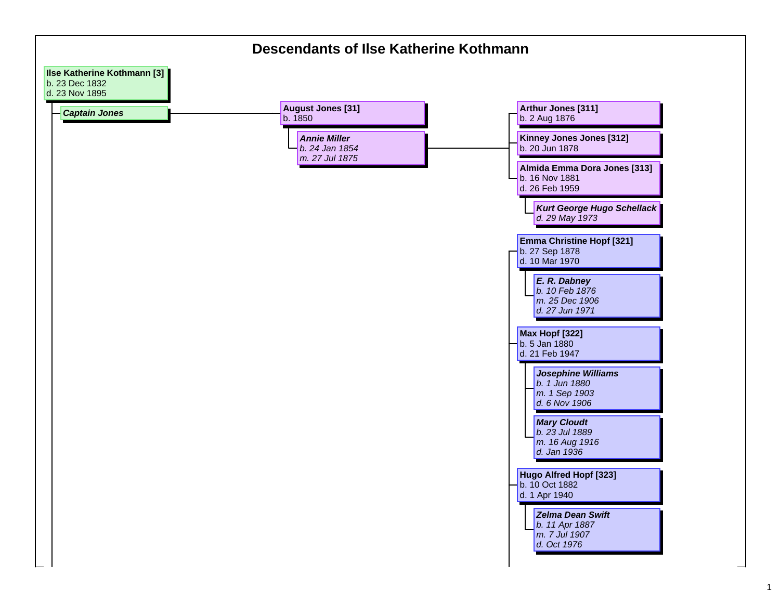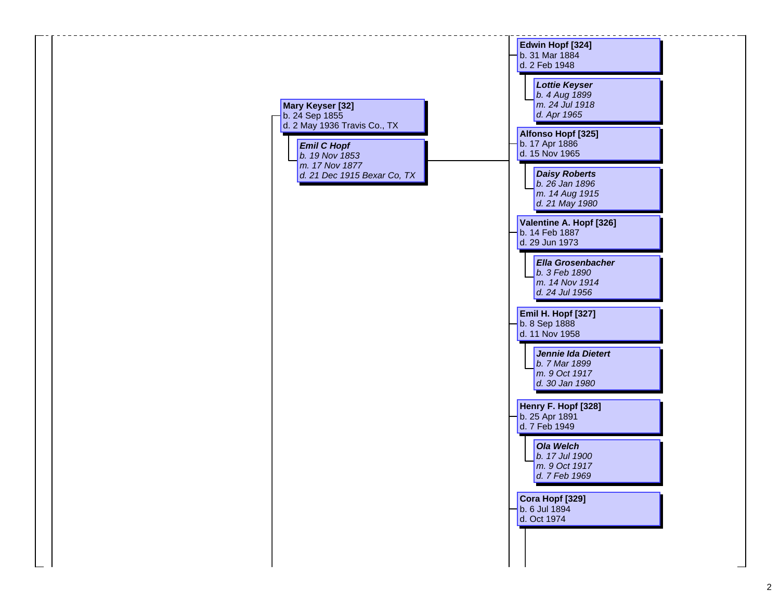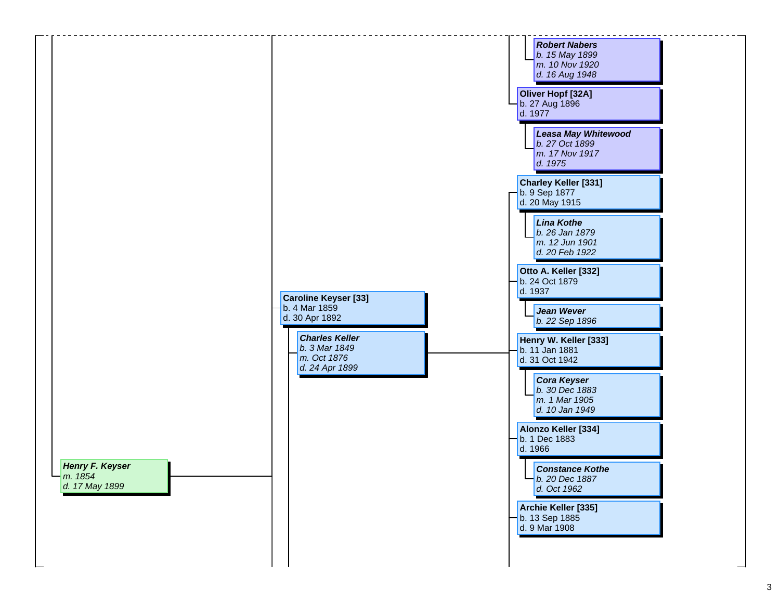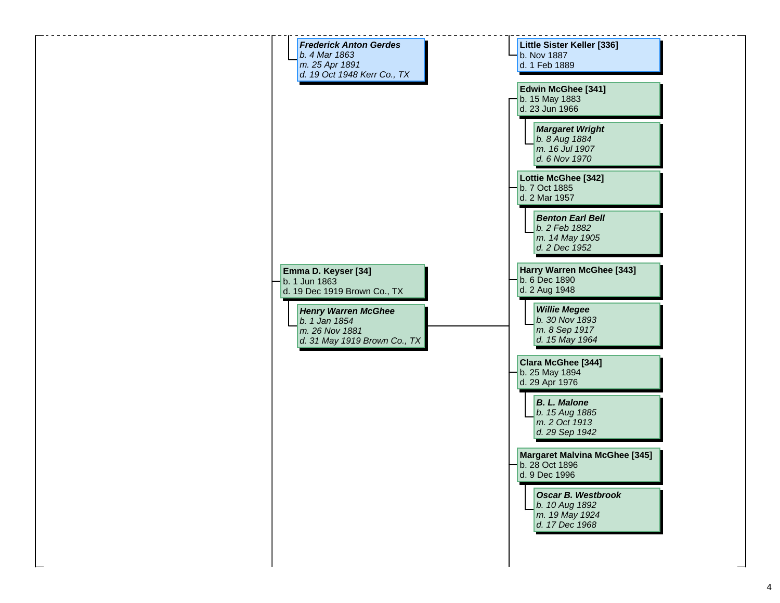**Little Sister Keller [336]** b. Nov 1887 d. 1 Feb 1889*Frederick Anton Gerdesb. 4 Mar 1863m. 25 Apr 1891 d. 19 Oct 1948 Kerr Co., TX Henry Warren McGhee b. 1 Jan 1854 m. 26 Nov 1881 d. 31 May 1919 Brown Co., TX Margaret Wright b. 8 Aug 1884 m. 16 Jul 1907 d. 6 Nov 1970***Edwin McGhee [341]** b. 15 May 1883 d. 23 Jun 1966 *Benton Earl Bellb. 2 Feb 1882 m. 14 May 1905 d. 2 Dec 1952***Lottie McGhee [342]** b. 7 Oct 1885 d. 2 Mar 1957*Willie Megee b. 30 Nov 1893 m. 8 Sep 1917 d. 15 May 1964* **Harry Warren McGhee [343]** b. 6 Dec 1890 d. 2 Aug 1948 *B. L. Malone b. 15 Aug 1885 m. 2 Oct 1913 d. 29 Sep 1942* **Clara McGhee [344]** b. 25 May 1894 d. 29 Apr 1976 *Oscar B. Westbrookb. 10 Aug 1892 m. 19 May 1924 d. 17 Dec 1968* **Margaret Malvina McGhee [345]** b. 28 Oct 1896 d. 9 Dec 1996**Emma D. Keyser [34]** b. 1 Jun 1863d. 19 Dec 1919 Brown Co., TX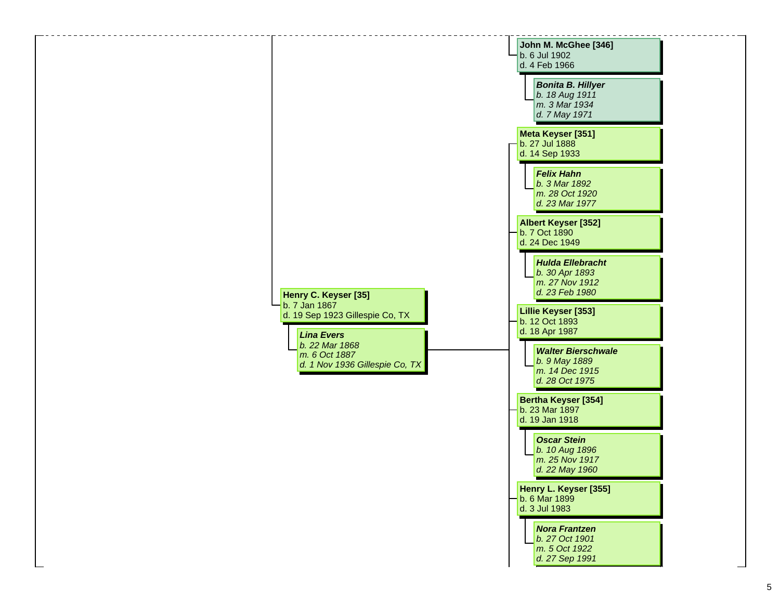